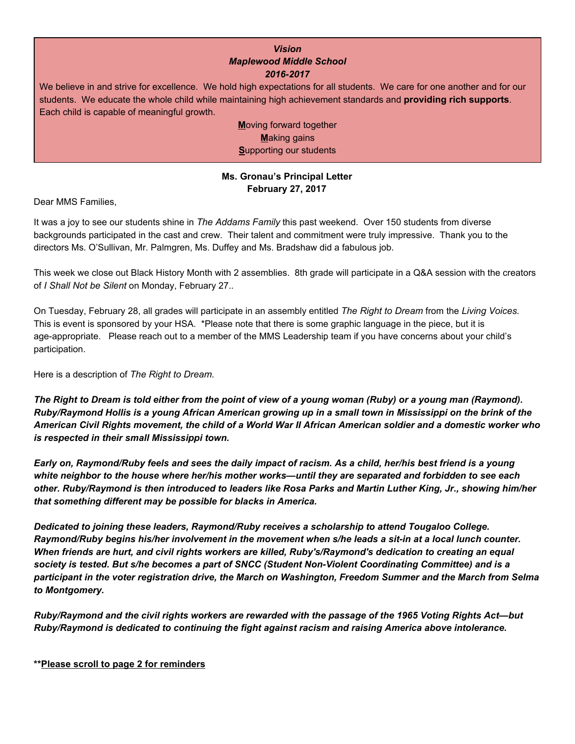## *Vision Maplewood Middle School 2016-2017*

We believe in and strive for excellence. We hold high expectations for all students. We care for one another and for our students. We educate the whole child while maintaining high achievement standards and **providing rich supports**. Each child is capable of meaningful growth.

> **M**oving forward together **M**aking gains **S**upporting our students

# **Ms. Gronau's Principal Letter February 27, 2017**

Dear MMS Families,

It was a joy to see our students shine in *The Addams Family* this past weekend. Over 150 students from diverse backgrounds participated in the cast and crew. Their talent and commitment were truly impressive. Thank you to the directors Ms. O'Sullivan, Mr. Palmgren, Ms. Duffey and Ms. Bradshaw did a fabulous job.

This week we close out Black History Month with 2 assemblies. 8th grade will participate in a Q&A session with the creators of *I Shall Not be Silent* on Monday, February 27.*.*

On Tuesday, February 28, all grades will participate in an assembly entitled *The Right to Dream* from the *Living Voices.* This is event is sponsored by your HSA. \*Please note that there is some graphic language in the piece, but it is age-appropriate. Please reach out to a member of the MMS Leadership team if you have concerns about your child's participation.

Here is a description of *The Right to Dream.*

*The Right to Dream is told either from the point of view of a young woman (Ruby) or a young man (Raymond). Ruby/Raymond Hollis is a young African American growing up in a small town in Mississippi on the brink of the American Civil Rights movement, the child of a World War II African American soldier and a domestic worker who is respected in their small Mississippi town.*

*Early on, Raymond/Ruby feels and sees the daily impact of racism. As a child, her/his best friend is a young white neighbor to the house where her/his mother works—until they are separated and forbidden to see each other. Ruby/Raymond is then introduced to leaders like Rosa Parks and Martin Luther King, Jr., showing him/her that something different may be possible for blacks in America.*

*Dedicated to joining these leaders, Raymond/Ruby receives a scholarship to attend Tougaloo College. Raymond/Ruby begins his/her involvement in the movement when s/he leads a sit-in at a local lunch counter. When friends are hurt, and civil rights workers are killed, Ruby's/Raymond's dedication to creating an equal society is tested. But s/he becomes a part of SNCC (Student Non-Violent Coordinating Committee) and is a participant in the voter registration drive, the March on Washington, Freedom Summer and the March from Selma to Montgomery.*

*Ruby/Raymond and the civil rights workers are rewarded with the passage of the 1965 Voting Rights Act—but Ruby/Raymond is dedicated to continuing the fight against racism and raising America above intolerance.*

## **\*\*Please scroll to page 2 for reminders**